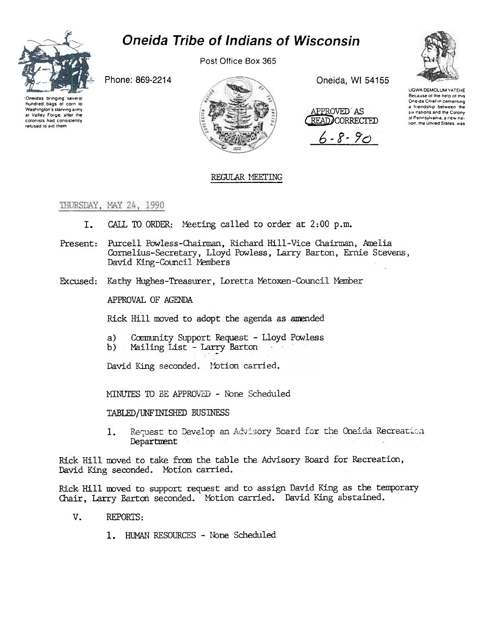

## **Oneida Tribe of Indians of Wisconsin**

Post Office Box 365

Phone: 869-2214





Oneida, WI 54155



 $6 - 8 - 90$ 



**UGWA DEMOLUM YATEHE** Because of the help of this Oneida Chief in cementing a friendship between the six nations and the Colony of Pennsylvania ia new nation, the United States, was

## REGULAR MEETING

THURSDAY, MAY 24, 1990

- CALL TO ORDER: Meeting called to order at 2:00 p.m. I.
- Present: Purcell Powless-Chairman, Richard Hill-Vice Chairman, Amelia Cornelius-Secretary, Lloyd Powless, Larry Barton, Ernie Stevens, David King-Council Members
- Excused: Kathy Hughes-Treasurer, Loretta Metoxen-Council Member

APPROVAL OF AGENDA

Rick Hill moved to adopt the agenda as amended

- $a)$ Community Support Request - Lloyd Powless
- Mailing List Larry Barton  $b)$

David King seconded. Motion carried.

MINUTES TO BE APPROVED - None Scheduled

TABLED/UNFINISHED BUSINESS

Request to Develop an Advisory Board for the Oneida Recreation 1. Department

Rick Hill moved to take from the table the Advisory Board for Recreation, David King seconded. Motion carried.

Rick Hill moved to support request and to assign David King as the temporary Chair, Larry Barton seconded. Motion carried. David King abstained.

- V. REPORTS:
	- 1. HUMAN RESOURCES None Scheduled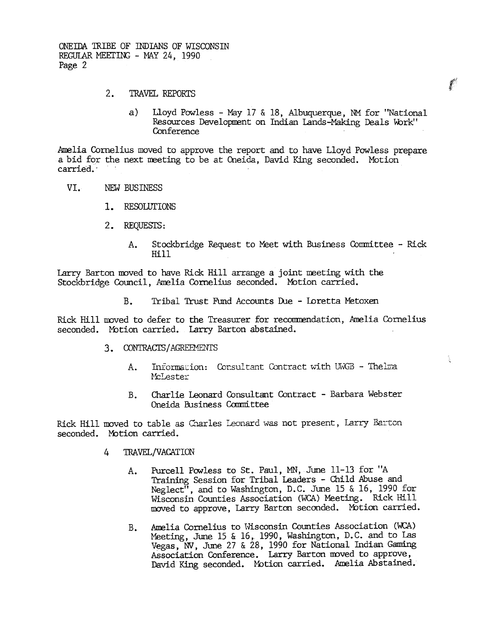ONEIDA TRIBE OF INDIANS OF WISCONSIN REGULAR MEETING - MAY 24, 1990 Page 2

- $2.$ TRAVEL REPORTS
	- $a)$ Lloyd Powless - May 17 & 18, Albuquerque, NM for "National Resources Development on Indian Lands-Making Deals Work" Conference

美术

 $\mathcal{L}^{(1)}$ 

Amelia Cornelius moved to approve the report and to have Lloyd Powless prepare a bid for the next meeting to be at Oneida, David King seconded. Motion carried.

- VT. NEW BUSINESS
	- 1. RESOLUTIONS
	- 2. REOUESTS:
		- Stockbridge Request to Meet with Business Committee Rick  $A_{\bullet}$ Hill

Larry Barton moved to have Rick Hill arrange a joint meeting with the Stockbridge Council, Amelia Cornelius seconded. Motion carried.

> $B<sub>z</sub>$ Tribal Trust Fund Accounts Due - Loretta Metoxen

Rick Hill moved to defer to the Treasurer for recommendation, Amelia Cornelius seconded. Motion carried. Larry Barton abstained.

- 3. CONTRACTS/AGREEMENTS
	- Information: Consultant Contract with UWGB Thelma A. McLester
	- Charlie Leonard Consultant Contract Barbara Webster  $B<sub>1</sub>$ Oneida Business Committee

Rick Hill moved to table as Charles Leonard was not present, Larry Barton seconded. Motion carried.

- $\overline{4}$ TRAVEL/VACATION
	- Purcell Powless to St. Paul, MN, June 11-13 for "A  $A_{\bullet}$ Training Session for Tribal Leaders - Child Abuse and Neglect<sup>1</sup>, and to Washington, D.C. June 15 & 16, 1990 for Wisconsin Counties Association (WCA) Meeting. Rick Hill moved to approve, Larry Barton seconded. Motion carried.
	- Amelia Cornelius to Wisconsin Counties Association (WCA)  $B_{\bullet}$ Meeting, June 15 & 16, 1990, Washington, D.C. and to Las Vegas, NV, June 27 & 28, 1990 for National Indian Gaming Association Conference. Larry Barton moved to approve, David King seconded. Motion carried. Amelia Abstained.